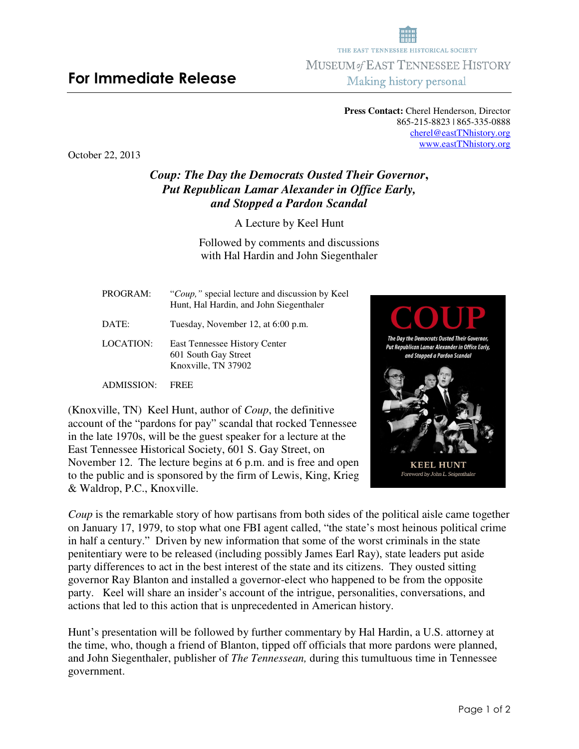## **For Immediate Release**

865-215-8823 | 865-335-0888 cherel@eastTNhistory.org www.eastTNhistory.org

October 22, 2013

## *Coup: The Day the Democrats Ousted Their Governor***,**  *Put Republican Lamar Alexander in Office Early, and Stopped a Pardon Scandal*

A Lecture by Keel Hunt

Followed by comments and discussions with Hal Hardin and John Siegenthaler

PROGRAM:"*Coup,"* special lecture and discussion by Keel Hunt, Hal Hardin, and John Siegenthaler DATE: Tuesday, November 12, at 6:00 p.m.

LOCATION: East Tennessee History Center 601 South Gay Street Knoxville, TN 37902

ADMISSION: FREE

(Knoxville, TN) Keel Hunt, author of *Coup*, the definitive account of the "pardons for pay" scandal that rocked Tennessee in the late 1970s, will be the guest speaker for a lecture at the East Tennessee Historical Society, 601 S. Gay Street, on November 12. The lecture begins at 6 p.m. and is free and open to the public and is sponsored by the firm of Lewis, King, Krieg & Waldrop, P.C., Knoxville.

*Coup* is the remarkable story of how partisans from both sides of the political aisle came together on January 17, 1979, to stop what one FBI agent called, "the state's most heinous political crime in half a century." Driven by new information that some of the worst criminals in the state penitentiary were to be released (including possibly James Earl Ray), state leaders put aside party differences to act in the best interest of the state and its citizens. They ousted sitting governor Ray Blanton and installed a governor-elect who happened to be from the opposite party. Keel will share an insider's account of the intrigue, personalities, conversations, and actions that led to this action that is unprecedented in American history.

Hunt's presentation will be followed by further commentary by Hal Hardin, a U.S. attorney at the time, who, though a friend of Blanton, tipped off officials that more pardons were planned, and John Siegenthaler, publisher of *The Tennessean,* during this tumultuous time in Tennessee government.